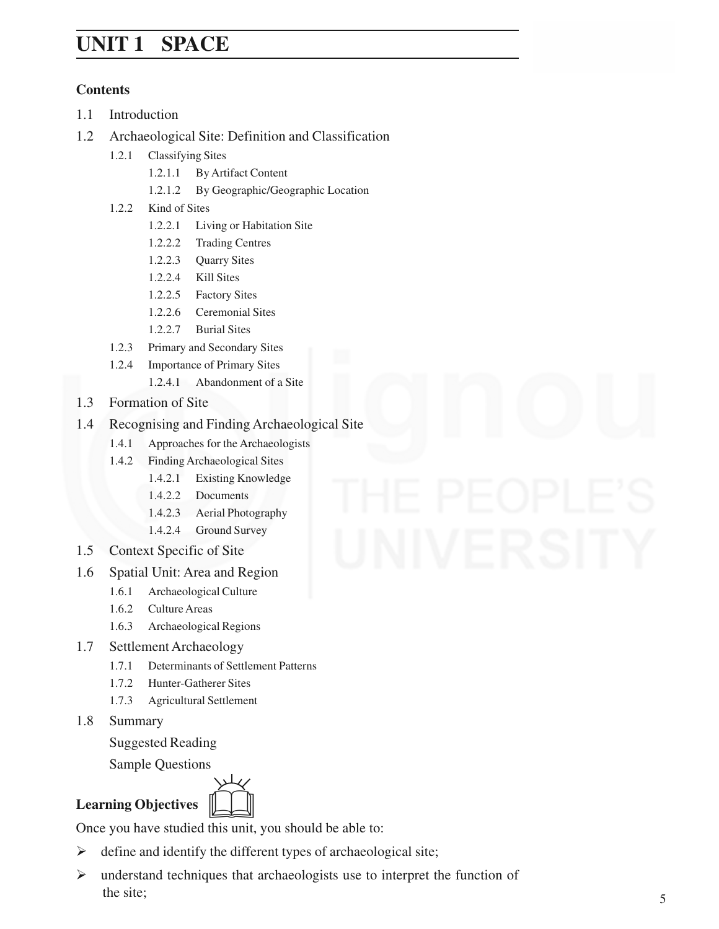# **Space UNIT 1 SPACE**

## **Contents**

- 1.1 Introduction
- 1.2 Archaeological Site: Definition and Classification
	- 1.2.1 Classifying Sites
		- 1.2.1.1 By Artifact Content
		- 1.2.1.2 By Geographic/Geographic Location
	- 1.2.2 Kind of Sites
		- 1.2.2.1 Living or Habitation Site
		- 1.2.2.2 Trading Centres
		- 1.2.2.3 Quarry Sites
		- 1.2.2.4 Kill Sites
		- 1.2.2.5 Factory Sites
		- 1.2.2.6 Ceremonial Sites
		- 1.2.2.7 Burial Sites
	- 1.2.3 Primary and Secondary Sites
	- 1.2.4 Importance of Primary Sites
		- 1.2.4.1 Abandonment of a Site
- 1.3 Formation of Site
- 1.4 Recognising and Finding Archaeological Site
	- 1.4.1 Approaches for the Archaeologists
	- 1.4.2 Finding Archaeological Sites
		- 1.4.2.1 Existing Knowledge
		- 1.4.2.2 Documents
		- 1.4.2.3 Aerial Photography
		- 1.4.2.4 Ground Survey
- 1.5 Context Specific of Site
- 1.6 Spatial Unit: Area and Region
	- 1.6.1 Archaeological Culture
	- 1.6.2 Culture Areas
	- 1.6.3 Archaeological Regions
- 1.7 Settlement Archaeology
	- 1.7.1 Determinants of Settlement Patterns
	- 1.7.2 Hunter-Gatherer Sites
	- 1.7.3 Agricultural Settlement
- 1.8 Summary

Suggested Reading

Sample Questions

# **Learning Objectives**



Once you have studied this unit, you should be able to:

- $\triangleright$  define and identify the different types of archaeological site;
- $\triangleright$  understand techniques that archaeologists use to interpret the function of the site;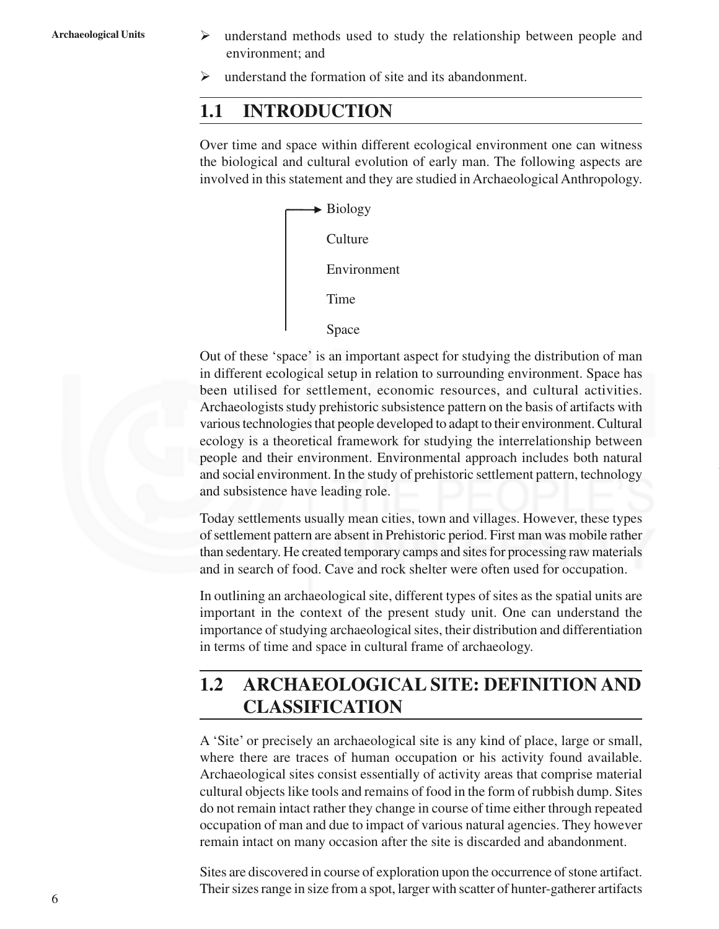- Archaeological Units  $\rightarrow$  understand methods used to study the relationship between people and environment; and
	- $\triangleright$  understand the formation of site and its abandonment.

# **1.1 INTRODUCTION**

Over time and space within different ecological environment one can witness the biological and cultural evolution of early man. The following aspects are involved in this statement and they are studied in Archaeological Anthropology.



Out of these 'space' is an important aspect for studying the distribution of man in different ecological setup in relation to surrounding environment. Space has been utilised for settlement, economic resources, and cultural activities. Archaeologists study prehistoric subsistence pattern on the basis of artifacts with various technologies that people developed to adapt to their environment. Cultural ecology is a theoretical framework for studying the interrelationship between people and their environment. Environmental approach includes both natural and social environment. In the study of prehistoric settlement pattern, technology and subsistence have leading role.

Today settlements usually mean cities, town and villages. However, these types of settlement pattern are absent in Prehistoric period. First man was mobile rather than sedentary. He created temporary camps and sites for processing raw materials and in search of food. Cave and rock shelter were often used for occupation.

In outlining an archaeological site, different types of sites as the spatial units are important in the context of the present study unit. One can understand the importance of studying archaeological sites, their distribution and differentiation in terms of time and space in cultural frame of archaeology.

# **1.2 ARCHAEOLOGICAL SITE: DEFINITION AND CLASSIFICATION**

A 'Site' or precisely an archaeological site is any kind of place, large or small, where there are traces of human occupation or his activity found available. Archaeological sites consist essentially of activity areas that comprise material cultural objects like tools and remains of food in the form of rubbish dump. Sites do not remain intact rather they change in course of time either through repeated occupation of man and due to impact of various natural agencies. They however remain intact on many occasion after the site is discarded and abandonment.

Sites are discovered in course of exploration upon the occurrence of stone artifact. Their sizes range in size from a spot, larger with scatter of hunter-gatherer artifacts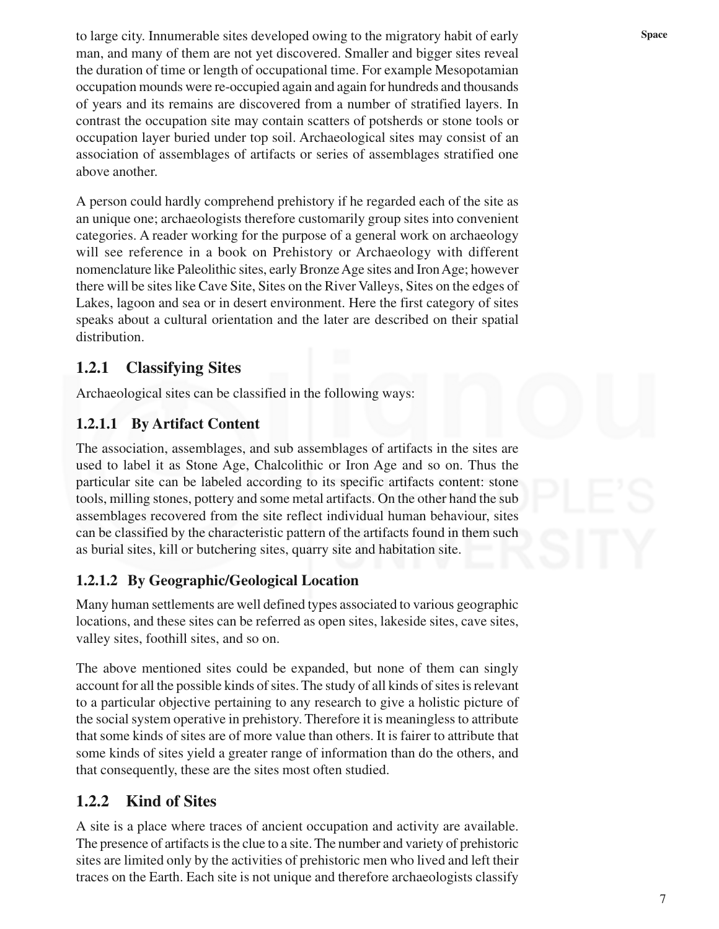to large city. Innumerable sites developed owing to the migratory habit of early space man, and many of them are not yet discovered. Smaller and bigger sites reveal the duration of time or length of occupational time. For example Mesopotamian occupation mounds were re-occupied again and again for hundreds and thousands of years and its remains are discovered from a number of stratified layers. In contrast the occupation site may contain scatters of potsherds or stone tools or occupation layer buried under top soil. Archaeological sites may consist of an association of assemblages of artifacts or series of assemblages stratified one above another.

A person could hardly comprehend prehistory if he regarded each of the site as an unique one; archaeologists therefore customarily group sites into convenient categories. A reader working for the purpose of a general work on archaeology will see reference in a book on Prehistory or Archaeology with different nomenclature like Paleolithic sites, early Bronze Age sites and Iron Age; however there will be sites like Cave Site, Sites on the River Valleys, Sites on the edges of Lakes, lagoon and sea or in desert environment. Here the first category of sites speaks about a cultural orientation and the later are described on their spatial distribution.

## **1.2.1 Classifying Sites**

Archaeological sites can be classified in the following ways:

#### **1.2.1.1 By Artifact Content**

The association, assemblages, and sub assemblages of artifacts in the sites are used to label it as Stone Age, Chalcolithic or Iron Age and so on. Thus the particular site can be labeled according to its specific artifacts content: stone tools, milling stones, pottery and some metal artifacts. On the other hand the sub assemblages recovered from the site reflect individual human behaviour, sites can be classified by the characteristic pattern of the artifacts found in them such as burial sites, kill or butchering sites, quarry site and habitation site.

#### **1.2.1.2 By Geographic/Geological Location**

Many human settlements are well defined types associated to various geographic locations, and these sites can be referred as open sites, lakeside sites, cave sites, valley sites, foothill sites, and so on.

The above mentioned sites could be expanded, but none of them can singly account for all the possible kinds of sites. The study of all kinds of sites is relevant to a particular objective pertaining to any research to give a holistic picture of the social system operative in prehistory. Therefore it is meaningless to attribute that some kinds of sites are of more value than others. It is fairer to attribute that some kinds of sites yield a greater range of information than do the others, and that consequently, these are the sites most often studied.

#### **1.2.2 Kind of Sites**

A site is a place where traces of ancient occupation and activity are available. The presence of artifacts is the clue to a site. The number and variety of prehistoric sites are limited only by the activities of prehistoric men who lived and left their traces on the Earth. Each site is not unique and therefore archaeologists classify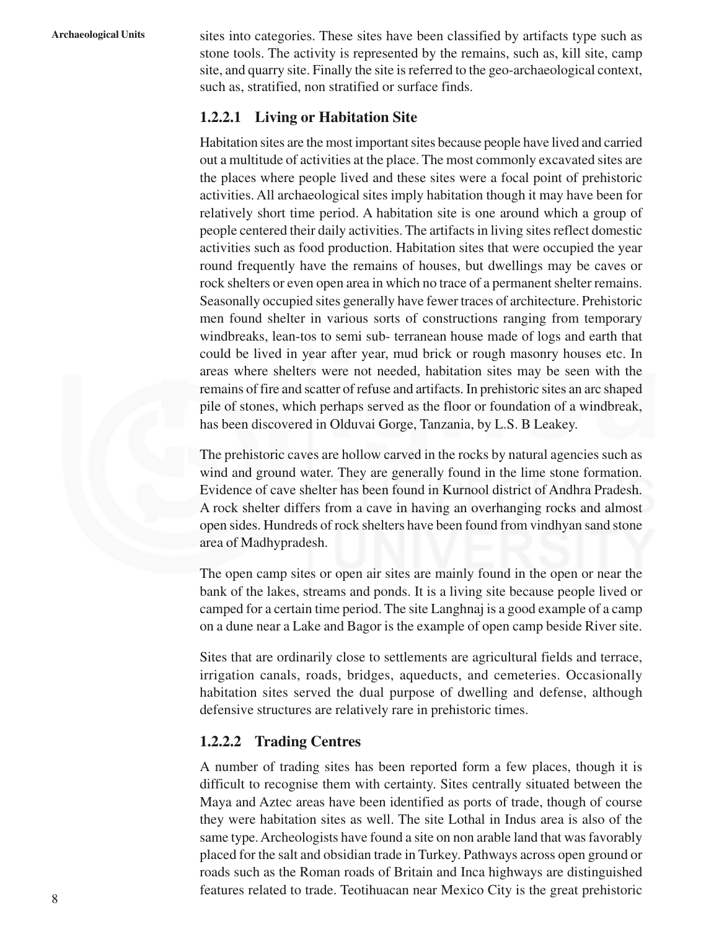Archaeological Units sites into categories. These sites have been classified by artifacts type such as stone tools. The activity is represented by the remains, such as, kill site, camp site, and quarry site. Finally the site is referred to the geo-archaeological context, such as, stratified, non stratified or surface finds.

#### **1.2.2.1 Living or Habitation Site**

Habitation sites are the most important sites because people have lived and carried out a multitude of activities at the place. The most commonly excavated sites are the places where people lived and these sites were a focal point of prehistoric activities. All archaeological sites imply habitation though it may have been for relatively short time period. A habitation site is one around which a group of people centered their daily activities. The artifacts in living sites reflect domestic activities such as food production. Habitation sites that were occupied the year round frequently have the remains of houses, but dwellings may be caves or rock shelters or even open area in which no trace of a permanent shelter remains. Seasonally occupied sites generally have fewer traces of architecture. Prehistoric men found shelter in various sorts of constructions ranging from temporary windbreaks, lean-tos to semi sub- terranean house made of logs and earth that could be lived in year after year, mud brick or rough masonry houses etc. In areas where shelters were not needed, habitation sites may be seen with the remains of fire and scatter of refuse and artifacts. In prehistoric sites an arc shaped pile of stones, which perhaps served as the floor or foundation of a windbreak, has been discovered in Olduvai Gorge, Tanzania, by L.S. B Leakey.

The prehistoric caves are hollow carved in the rocks by natural agencies such as wind and ground water. They are generally found in the lime stone formation. Evidence of cave shelter has been found in Kurnool district of Andhra Pradesh. A rock shelter differs from a cave in having an overhanging rocks and almost open sides. Hundreds of rock shelters have been found from vindhyan sand stone area of Madhypradesh.

The open camp sites or open air sites are mainly found in the open or near the bank of the lakes, streams and ponds. It is a living site because people lived or camped for a certain time period. The site Langhnaj is a good example of a camp on a dune near a Lake and Bagor is the example of open camp beside River site.

Sites that are ordinarily close to settlements are agricultural fields and terrace, irrigation canals, roads, bridges, aqueducts, and cemeteries. Occasionally habitation sites served the dual purpose of dwelling and defense, although defensive structures are relatively rare in prehistoric times.

#### **1.2.2.2 Trading Centres**

A number of trading sites has been reported form a few places, though it is difficult to recognise them with certainty. Sites centrally situated between the Maya and Aztec areas have been identified as ports of trade, though of course they were habitation sites as well. The site Lothal in Indus area is also of the same type. Archeologists have found a site on non arable land that was favorably placed for the salt and obsidian trade in Turkey. Pathways across open ground or roads such as the Roman roads of Britain and Inca highways are distinguished features related to trade. Teotihuacan near Mexico City is the great prehistoric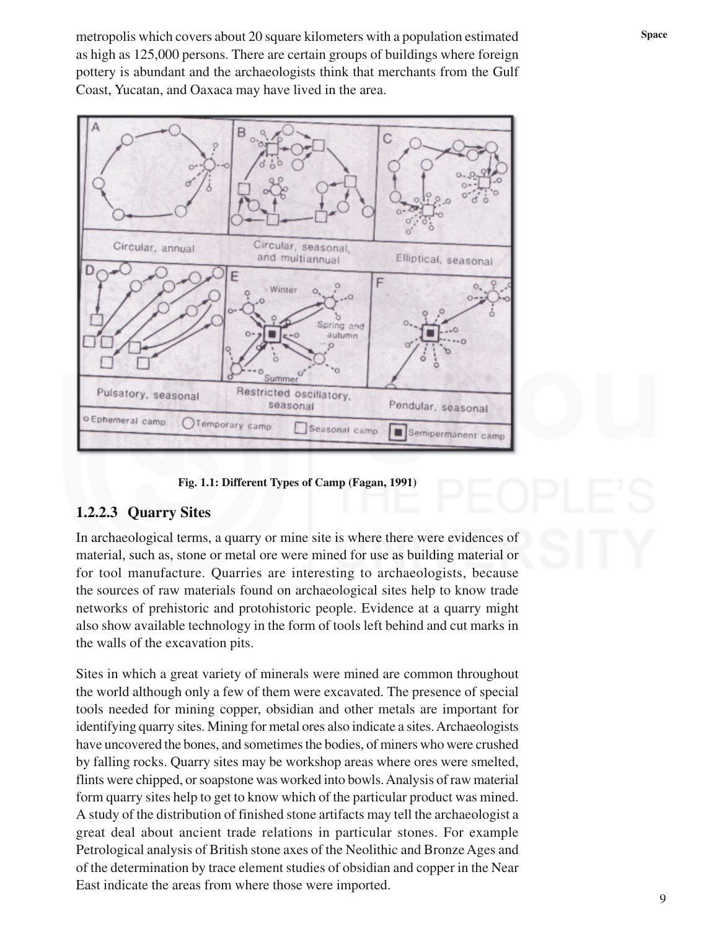metropolis which covers about 20 square kilometers with a population estimated **Space** as high as 125,000 persons. There are certain groups of buildings where foreign pottery is abundant and the archaeologists think that merchants from the Gulf Coast, Yucatan, and Oaxaca may have lived in the area.



#### **Fig. 1.1: Different Types of Camp (Fagan, 1991)**

#### **1.2.2.3 Quarry Sites**

In archaeological terms, a quarry or mine site is where there were evidences of material, such as, stone or metal ore were mined for use as building material or for tool manufacture. Quarries are interesting to archaeologists, because the sources of raw materials found on archaeological sites help to know trade networks of prehistoric and protohistoric people. Evidence at a quarry might also show available technology in the form of tools left behind and cut marks in the walls of the excavation pits.

Sites in which a great variety of minerals were mined are common throughout the world although only a few of them were excavated. The presence of special tools needed for mining copper, obsidian and other metals are important for identifying quarry sites. Mining for metal ores also indicate a sites. Archaeologists have uncovered the bones, and sometimes the bodies, of miners who were crushed by falling rocks. Quarry sites may be workshop areas where ores were smelted, flints were chipped, or soapstone was worked into bowls. Analysis of raw material form quarry sites help to get to know which of the particular product was mined. A study of the distribution of finished stone artifacts may tell the archaeologist a great deal about ancient trade relations in particular stones. For example Petrological analysis of British stone axes of the Neolithic and Bronze Ages and of the determination by trace element studies of obsidian and copper in the Near East indicate the areas from where those were imported.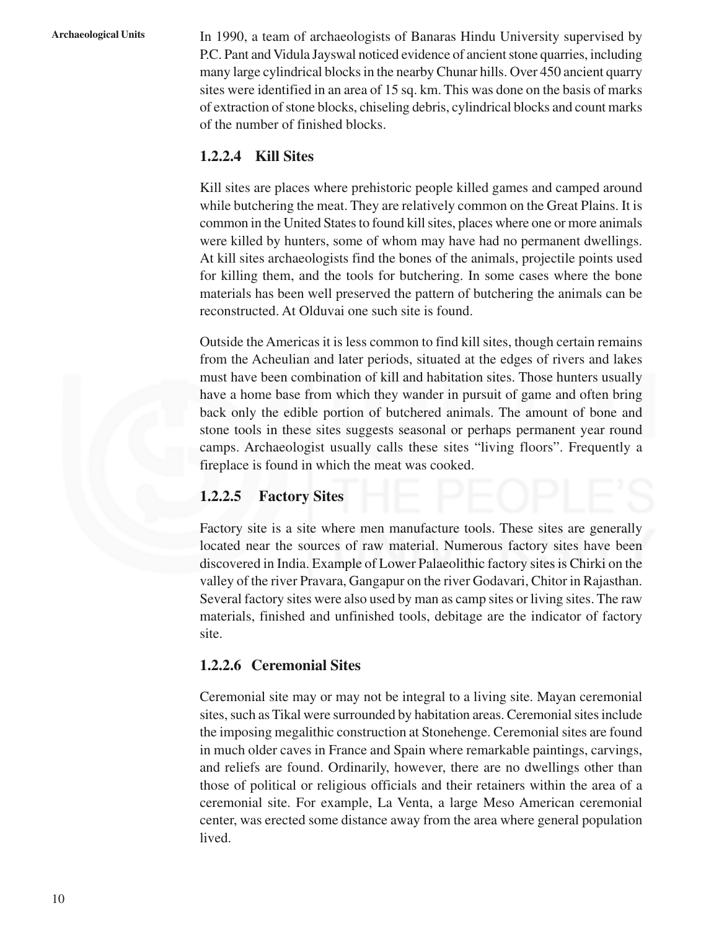**Archaeological Units** In 1990, a team of archaeologists of Banaras Hindu University supervised by P.C. Pant and Vidula Jayswal noticed evidence of ancient stone quarries, including many large cylindrical blocks in the nearby Chunar hills. Over 450 ancient quarry sites were identified in an area of 15 sq. km. This was done on the basis of marks of extraction of stone blocks, chiseling debris, cylindrical blocks and count marks of the number of finished blocks.

#### **1.2.2.4 Kill Sites**

Kill sites are places where prehistoric people killed games and camped around while butchering the meat. They are relatively common on the Great Plains. It is common in the United States to found kill sites, places where one or more animals were killed by hunters, some of whom may have had no permanent dwellings. At kill sites archaeologists find the bones of the animals, projectile points used for killing them, and the tools for butchering. In some cases where the bone materials has been well preserved the pattern of butchering the animals can be reconstructed. At Olduvai one such site is found.

Outside the Americas it is less common to find kill sites, though certain remains from the Acheulian and later periods, situated at the edges of rivers and lakes must have been combination of kill and habitation sites. Those hunters usually have a home base from which they wander in pursuit of game and often bring back only the edible portion of butchered animals. The amount of bone and stone tools in these sites suggests seasonal or perhaps permanent year round camps. Archaeologist usually calls these sites "living floors". Frequently a fireplace is found in which the meat was cooked.

#### **1.2.2.5 Factory Sites**

Factory site is a site where men manufacture tools. These sites are generally located near the sources of raw material. Numerous factory sites have been discovered in India. Example of Lower Palaeolithic factory sites is Chirki on the valley of the river Pravara, Gangapur on the river Godavari, Chitor in Rajasthan. Several factory sites were also used by man as camp sites or living sites. The raw materials, finished and unfinished tools, debitage are the indicator of factory site.

#### **1.2.2.6 Ceremonial Sites**

Ceremonial site may or may not be integral to a living site. Mayan ceremonial sites, such as Tikal were surrounded by habitation areas. Ceremonial sites include the imposing megalithic construction at Stonehenge. Ceremonial sites are found in much older caves in France and Spain where remarkable paintings, carvings, and reliefs are found. Ordinarily, however, there are no dwellings other than those of political or religious officials and their retainers within the area of a ceremonial site. For example, La Venta, a large Meso American ceremonial center, was erected some distance away from the area where general population lived.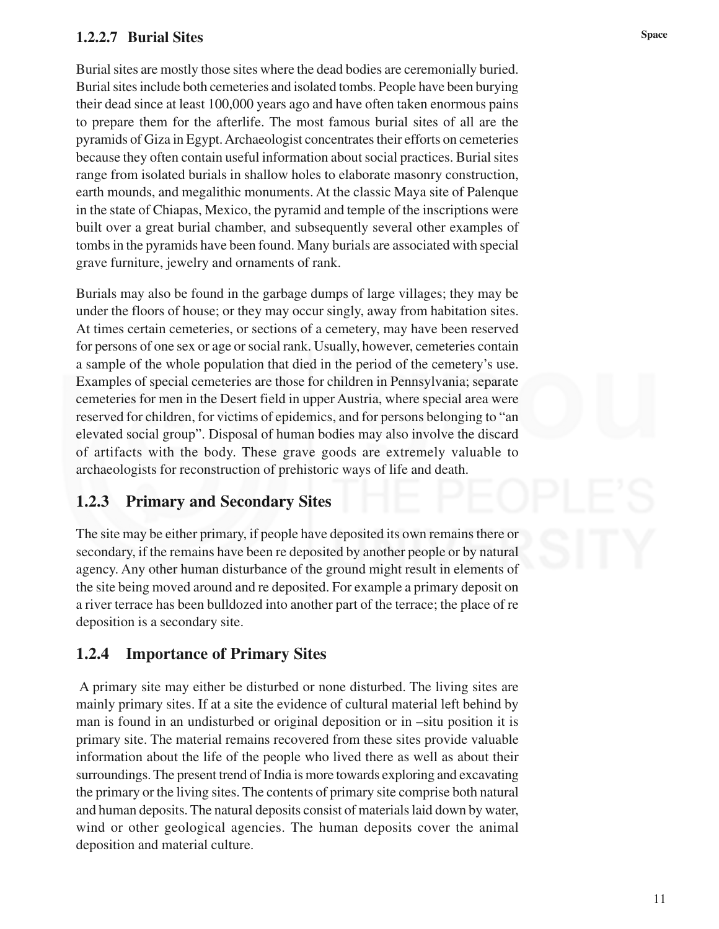## **Space 1.2.2.7 Burial Sites**

Burial sites are mostly those sites where the dead bodies are ceremonially buried. Burial sites include both cemeteries and isolated tombs. People have been burying their dead since at least 100,000 years ago and have often taken enormous pains to prepare them for the afterlife. The most famous burial sites of all are the pyramids of Giza in Egypt. Archaeologist concentrates their efforts on cemeteries because they often contain useful information about social practices. Burial sites range from isolated burials in shallow holes to elaborate masonry construction, earth mounds, and megalithic monuments. At the classic Maya site of Palenque in the state of Chiapas, Mexico, the pyramid and temple of the inscriptions were built over a great burial chamber, and subsequently several other examples of tombs in the pyramids have been found. Many burials are associated with special grave furniture, jewelry and ornaments of rank.

Burials may also be found in the garbage dumps of large villages; they may be under the floors of house; or they may occur singly, away from habitation sites. At times certain cemeteries, or sections of a cemetery, may have been reserved for persons of one sex or age or social rank. Usually, however, cemeteries contain a sample of the whole population that died in the period of the cemetery's use. Examples of special cemeteries are those for children in Pennsylvania; separate cemeteries for men in the Desert field in upper Austria, where special area were reserved for children, for victims of epidemics, and for persons belonging to "an elevated social group". Disposal of human bodies may also involve the discard of artifacts with the body. These grave goods are extremely valuable to archaeologists for reconstruction of prehistoric ways of life and death.

## **1.2.3 Primary and Secondary Sites**

The site may be either primary, if people have deposited its own remains there or secondary, if the remains have been re deposited by another people or by natural agency. Any other human disturbance of the ground might result in elements of the site being moved around and re deposited. For example a primary deposit on a river terrace has been bulldozed into another part of the terrace; the place of re deposition is a secondary site.

# **1.2.4 Importance of Primary Sites**

 A primary site may either be disturbed or none disturbed. The living sites are mainly primary sites. If at a site the evidence of cultural material left behind by man is found in an undisturbed or original deposition or in –situ position it is primary site. The material remains recovered from these sites provide valuable information about the life of the people who lived there as well as about their surroundings. The present trend of India is more towards exploring and excavating the primary or the living sites. The contents of primary site comprise both natural and human deposits. The natural deposits consist of materials laid down by water, wind or other geological agencies. The human deposits cover the animal deposition and material culture.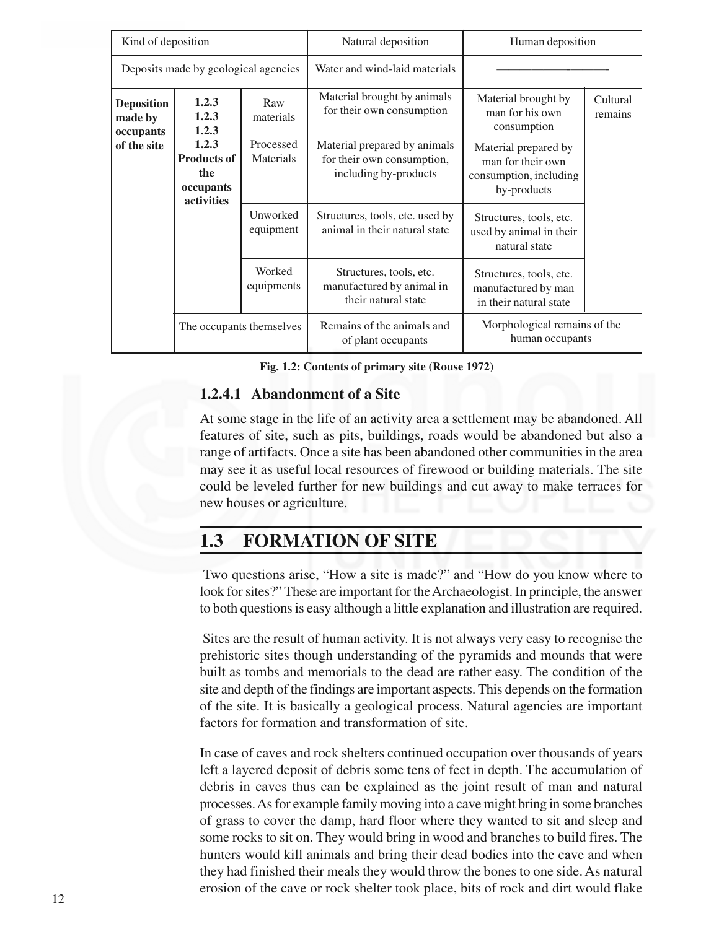| Kind of deposition                                       |                                                                                          |                        | Natural deposition                                                                  | Human deposition                                                                   |                     |
|----------------------------------------------------------|------------------------------------------------------------------------------------------|------------------------|-------------------------------------------------------------------------------------|------------------------------------------------------------------------------------|---------------------|
| Deposits made by geological agencies                     |                                                                                          |                        | Water and wind-laid materials                                                       |                                                                                    |                     |
| <b>Deposition</b><br>made by<br>occupants<br>of the site | 1.2.3<br>1.2.3<br>1.2.3<br>1.2.3<br><b>Products of</b><br>the<br>occupants<br>activities | Raw<br>materials       | Material brought by animals<br>for their own consumption                            | Material brought by<br>man for his own<br>consumption                              | Cultural<br>remains |
|                                                          |                                                                                          | Processed<br>Materials | Material prepared by animals<br>for their own consumption,<br>including by-products | Material prepared by<br>man for their own<br>consumption, including<br>by-products |                     |
|                                                          |                                                                                          | Unworked<br>equipment  | Structures, tools, etc. used by<br>animal in their natural state                    | Structures, tools, etc.<br>used by animal in their<br>natural state                |                     |
|                                                          |                                                                                          | Worked<br>equipments   | Structures, tools, etc.<br>manufactured by animal in<br>their natural state         | Structures, tools, etc.<br>manufactured by man<br>in their natural state           |                     |
|                                                          | The occupants themselves                                                                 |                        | Remains of the animals and<br>of plant occupants                                    | Morphological remains of the<br>human occupants                                    |                     |

**Fig. 1.2: Contents of primary site (Rouse 1972)**

#### **1.2.4.1 Abandonment of a Site**

At some stage in the life of an activity area a settlement may be abandoned. All features of site, such as pits, buildings, roads would be abandoned but also a range of artifacts. Once a site has been abandoned other communities in the area may see it as useful local resources of firewood or building materials. The site could be leveled further for new buildings and cut away to make terraces for new houses or agriculture.

# **1.3 FORMATION OF SITE**

 Two questions arise, "How a site is made?" and "How do you know where to look for sites?" These are important for the Archaeologist. In principle, the answer to both questions is easy although a little explanation and illustration are required.

 Sites are the result of human activity. It is not always very easy to recognise the prehistoric sites though understanding of the pyramids and mounds that were built as tombs and memorials to the dead are rather easy. The condition of the site and depth of the findings are important aspects. This depends on the formation of the site. It is basically a geological process. Natural agencies are important factors for formation and transformation of site.

In case of caves and rock shelters continued occupation over thousands of years left a layered deposit of debris some tens of feet in depth. The accumulation of debris in caves thus can be explained as the joint result of man and natural processes. As for example family moving into a cave might bring in some branches of grass to cover the damp, hard floor where they wanted to sit and sleep and some rocks to sit on. They would bring in wood and branches to build fires. The hunters would kill animals and bring their dead bodies into the cave and when they had finished their meals they would throw the bones to one side. As natural erosion of the cave or rock shelter took place, bits of rock and dirt would flake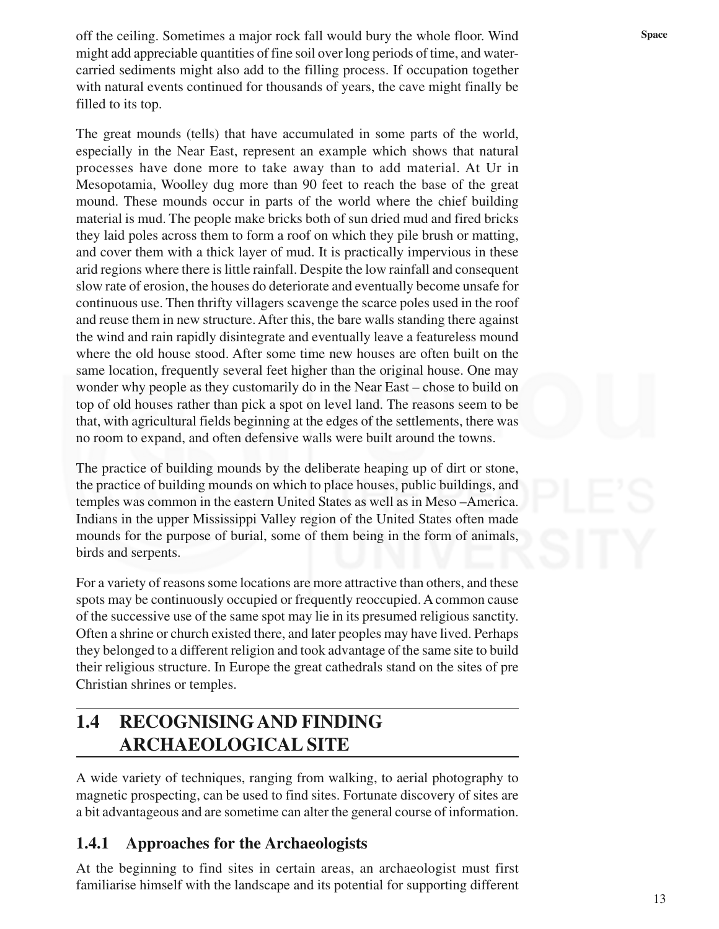off the ceiling. Sometimes a major rock fall would bury the whole floor. Wind space might add appreciable quantities of fine soil over long periods of time, and watercarried sediments might also add to the filling process. If occupation together with natural events continued for thousands of years, the cave might finally be filled to its top.

The great mounds (tells) that have accumulated in some parts of the world, especially in the Near East, represent an example which shows that natural processes have done more to take away than to add material. At Ur in Mesopotamia, Woolley dug more than 90 feet to reach the base of the great mound. These mounds occur in parts of the world where the chief building material is mud. The people make bricks both of sun dried mud and fired bricks they laid poles across them to form a roof on which they pile brush or matting, and cover them with a thick layer of mud. It is practically impervious in these arid regions where there is little rainfall. Despite the low rainfall and consequent slow rate of erosion, the houses do deteriorate and eventually become unsafe for continuous use. Then thrifty villagers scavenge the scarce poles used in the roof and reuse them in new structure. After this, the bare walls standing there against the wind and rain rapidly disintegrate and eventually leave a featureless mound where the old house stood. After some time new houses are often built on the same location, frequently several feet higher than the original house. One may wonder why people as they customarily do in the Near East – chose to build on top of old houses rather than pick a spot on level land. The reasons seem to be that, with agricultural fields beginning at the edges of the settlements, there was no room to expand, and often defensive walls were built around the towns.

The practice of building mounds by the deliberate heaping up of dirt or stone, the practice of building mounds on which to place houses, public buildings, and temples was common in the eastern United States as well as in Meso –America. Indians in the upper Mississippi Valley region of the United States often made mounds for the purpose of burial, some of them being in the form of animals, birds and serpents.

For a variety of reasons some locations are more attractive than others, and these spots may be continuously occupied or frequently reoccupied. A common cause of the successive use of the same spot may lie in its presumed religious sanctity. Often a shrine or church existed there, and later peoples may have lived. Perhaps they belonged to a different religion and took advantage of the same site to build their religious structure. In Europe the great cathedrals stand on the sites of pre Christian shrines or temples.

# **1.4 RECOGNISINGAND FINDING ARCHAEOLOGICAL SITE**

A wide variety of techniques, ranging from walking, to aerial photography to magnetic prospecting, can be used to find sites. Fortunate discovery of sites are a bit advantageous and are sometime can alter the general course of information.

## **1.4.1 Approaches for the Archaeologists**

At the beginning to find sites in certain areas, an archaeologist must first familiarise himself with the landscape and its potential for supporting different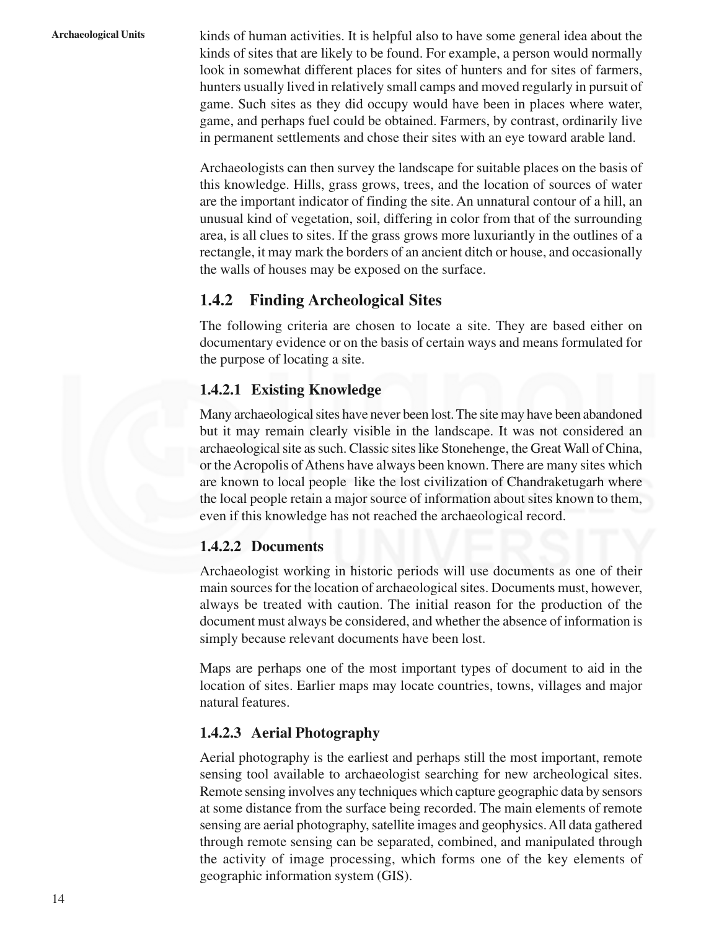**Archaeological Units** kinds of human activities. It is helpful also to have some general idea about the kinds of sites that are likely to be found. For example, a person would normally look in somewhat different places for sites of hunters and for sites of farmers, hunters usually lived in relatively small camps and moved regularly in pursuit of game. Such sites as they did occupy would have been in places where water, game, and perhaps fuel could be obtained. Farmers, by contrast, ordinarily live in permanent settlements and chose their sites with an eye toward arable land.

> Archaeologists can then survey the landscape for suitable places on the basis of this knowledge. Hills, grass grows, trees, and the location of sources of water are the important indicator of finding the site. An unnatural contour of a hill, an unusual kind of vegetation, soil, differing in color from that of the surrounding area, is all clues to sites. If the grass grows more luxuriantly in the outlines of a rectangle, it may mark the borders of an ancient ditch or house, and occasionally the walls of houses may be exposed on the surface.

## **1.4.2 Finding Archeological Sites**

The following criteria are chosen to locate a site. They are based either on documentary evidence or on the basis of certain ways and means formulated for the purpose of locating a site.

#### **1.4.2.1 Existing Knowledge**

Many archaeological sites have never been lost. The site may have been abandoned but it may remain clearly visible in the landscape. It was not considered an archaeological site as such. Classic sites like Stonehenge, the Great Wall of China, or the Acropolis of Athens have always been known. There are many sites which are known to local people like the lost civilization of Chandraketugarh where the local people retain a major source of information about sites known to them, even if this knowledge has not reached the archaeological record.

#### **1.4.2.2 Documents**

Archaeologist working in historic periods will use documents as one of their main sources for the location of archaeological sites. Documents must, however, always be treated with caution. The initial reason for the production of the document must always be considered, and whether the absence of information is simply because relevant documents have been lost.

Maps are perhaps one of the most important types of document to aid in the location of sites. Earlier maps may locate countries, towns, villages and major natural features.

#### **1.4.2.3 Aerial Photography**

Aerial photography is the earliest and perhaps still the most important, remote sensing tool available to archaeologist searching for new archeological sites. Remote sensing involves any techniques which capture geographic data by sensors at some distance from the surface being recorded. The main elements of remote sensing are aerial photography, satellite images and geophysics. All data gathered through remote sensing can be separated, combined, and manipulated through the activity of image processing, which forms one of the key elements of geographic information system (GIS).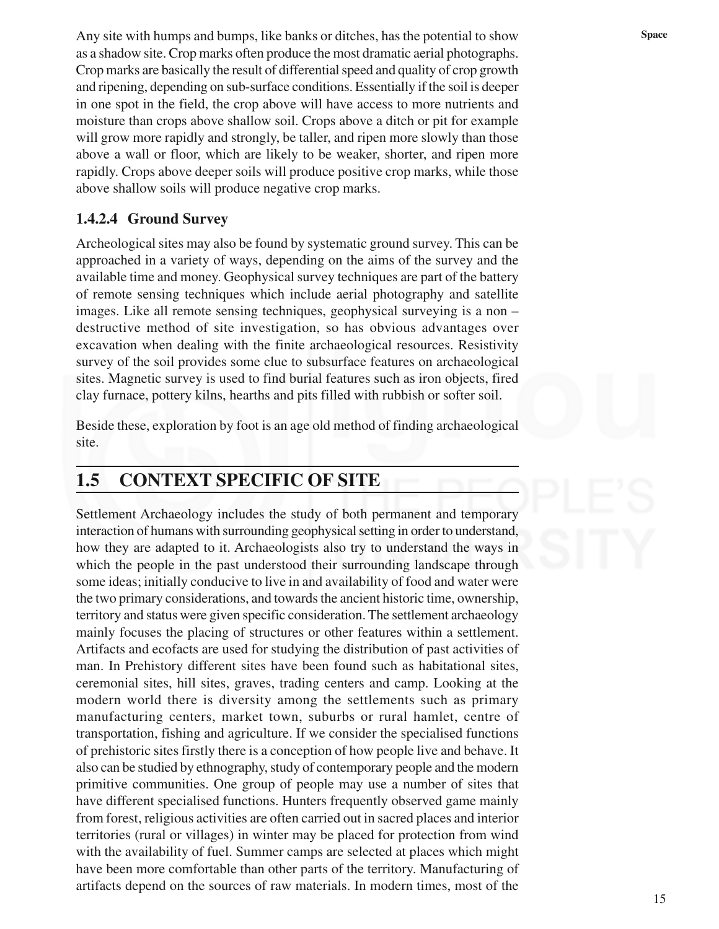Any site with humps and bumps, like banks or ditches, has the potential to show **Space** as a shadow site. Crop marks often produce the most dramatic aerial photographs. Crop marks are basically the result of differential speed and quality of crop growth and ripening, depending on sub-surface conditions. Essentially if the soil is deeper in one spot in the field, the crop above will have access to more nutrients and moisture than crops above shallow soil. Crops above a ditch or pit for example will grow more rapidly and strongly, be taller, and ripen more slowly than those above a wall or floor, which are likely to be weaker, shorter, and ripen more rapidly. Crops above deeper soils will produce positive crop marks, while those above shallow soils will produce negative crop marks.

#### **1.4.2.4 Ground Survey**

Archeological sites may also be found by systematic ground survey. This can be approached in a variety of ways, depending on the aims of the survey and the available time and money. Geophysical survey techniques are part of the battery of remote sensing techniques which include aerial photography and satellite images. Like all remote sensing techniques, geophysical surveying is a non – destructive method of site investigation, so has obvious advantages over excavation when dealing with the finite archaeological resources. Resistivity survey of the soil provides some clue to subsurface features on archaeological sites. Magnetic survey is used to find burial features such as iron objects, fired clay furnace, pottery kilns, hearths and pits filled with rubbish or softer soil.

Beside these, exploration by foot is an age old method of finding archaeological site.

# **1.5 CONTEXT SPECIFIC OF SITE**

Settlement Archaeology includes the study of both permanent and temporary interaction of humans with surrounding geophysical setting in order to understand, how they are adapted to it. Archaeologists also try to understand the ways in which the people in the past understood their surrounding landscape through some ideas; initially conducive to live in and availability of food and water were the two primary considerations, and towards the ancient historic time, ownership, territory and status were given specific consideration. The settlement archaeology mainly focuses the placing of structures or other features within a settlement. Artifacts and ecofacts are used for studying the distribution of past activities of man. In Prehistory different sites have been found such as habitational sites, ceremonial sites, hill sites, graves, trading centers and camp. Looking at the modern world there is diversity among the settlements such as primary manufacturing centers, market town, suburbs or rural hamlet, centre of transportation, fishing and agriculture. If we consider the specialised functions of prehistoric sites firstly there is a conception of how people live and behave. It also can be studied by ethnography, study of contemporary people and the modern primitive communities. One group of people may use a number of sites that have different specialised functions. Hunters frequently observed game mainly from forest, religious activities are often carried out in sacred places and interior territories (rural or villages) in winter may be placed for protection from wind with the availability of fuel. Summer camps are selected at places which might have been more comfortable than other parts of the territory. Manufacturing of artifacts depend on the sources of raw materials. In modern times, most of the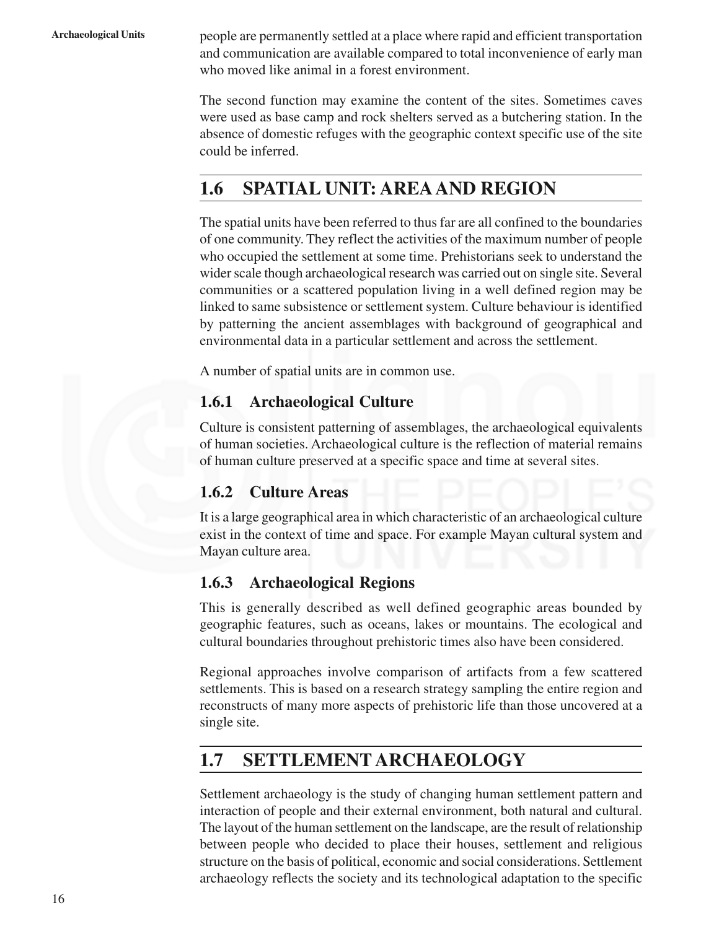**Archaeological Units** people are permanently settled at a place where rapid and efficient transportation and communication are available compared to total inconvenience of early man who moved like animal in a forest environment.

> The second function may examine the content of the sites. Sometimes caves were used as base camp and rock shelters served as a butchering station. In the absence of domestic refuges with the geographic context specific use of the site could be inferred.

# **1.6 SPATIAL UNIT: AREAAND REGION**

The spatial units have been referred to thus far are all confined to the boundaries of one community. They reflect the activities of the maximum number of people who occupied the settlement at some time. Prehistorians seek to understand the wider scale though archaeological research was carried out on single site. Several communities or a scattered population living in a well defined region may be linked to same subsistence or settlement system. Culture behaviour is identified by patterning the ancient assemblages with background of geographical and environmental data in a particular settlement and across the settlement.

A number of spatial units are in common use.

# **1.6.1 Archaeological Culture**

Culture is consistent patterning of assemblages, the archaeological equivalents of human societies. Archaeological culture is the reflection of material remains of human culture preserved at a specific space and time at several sites.

## **1.6.2 Culture Areas**

It is a large geographical area in which characteristic of an archaeological culture exist in the context of time and space. For example Mayan cultural system and Mayan culture area.

## **1.6.3 Archaeological Regions**

This is generally described as well defined geographic areas bounded by geographic features, such as oceans, lakes or mountains. The ecological and cultural boundaries throughout prehistoric times also have been considered.

Regional approaches involve comparison of artifacts from a few scattered settlements. This is based on a research strategy sampling the entire region and reconstructs of many more aspects of prehistoric life than those uncovered at a single site.

# **1.7 SETTLEMENT ARCHAEOLOGY**

Settlement archaeology is the study of changing human settlement pattern and interaction of people and their external environment, both natural and cultural. The layout of the human settlement on the landscape, are the result of relationship between people who decided to place their houses, settlement and religious structure on the basis of political, economic and social considerations. Settlement archaeology reflects the society and its technological adaptation to the specific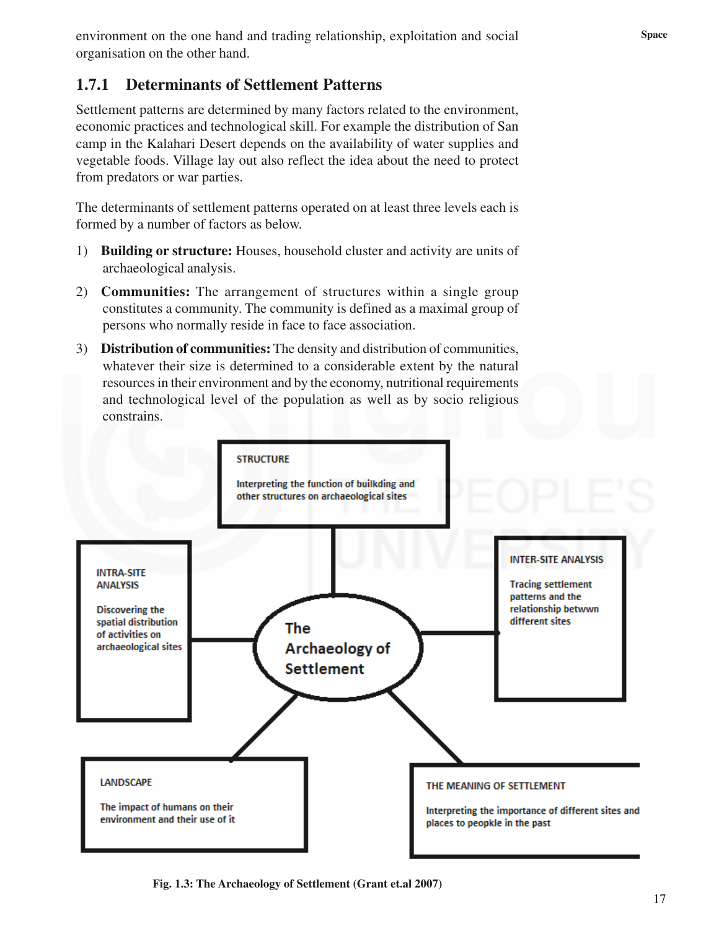# **1.7.1 Determinants of Settlement Patterns**

Settlement patterns are determined by many factors related to the environment, economic practices and technological skill. For example the distribution of San camp in the Kalahari Desert depends on the availability of water supplies and vegetable foods. Village lay out also reflect the idea about the need to protect from predators or war parties.

The determinants of settlement patterns operated on at least three levels each is formed by a number of factors as below.

- 1) **Building or structure:** Houses, household cluster and activity are units of archaeological analysis.
- 2) **Communities:** The arrangement of structures within a single group constitutes a community. The community is defined as a maximal group of persons who normally reside in face to face association.
- 3) **Distribution of communities:** The density and distribution of communities, whatever their size is determined to a considerable extent by the natural resources in their environment and by the economy, nutritional requirements and technological level of the population as well as by socio religious constrains.



**Fig. 1.3: The Archaeology of Settlement (Grant et.al 2007)**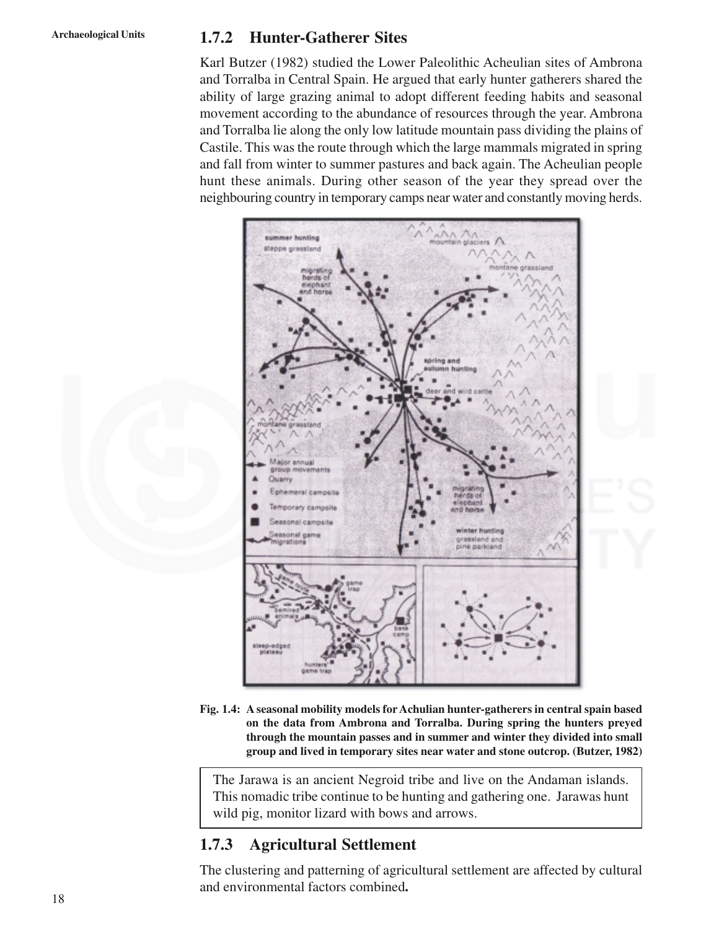## **Archaeological Units 1.7.2 Hunter-Gatherer Sites**

Karl Butzer (1982) studied the Lower Paleolithic Acheulian sites of Ambrona and Torralba in Central Spain. He argued that early hunter gatherers shared the ability of large grazing animal to adopt different feeding habits and seasonal movement according to the abundance of resources through the year. Ambrona and Torralba lie along the only low latitude mountain pass dividing the plains of Castile. This was the route through which the large mammals migrated in spring and fall from winter to summer pastures and back again. The Acheulian people hunt these animals. During other season of the year they spread over the neighbouring country in temporary camps near water and constantly moving herds.



**Fig. 1.4: A seasonal mobility models forAchulian hunter-gatherers in central spain based on the data from Ambrona and Torralba. During spring the hunters preyed through the mountain passes and in summer and winter they divided into small group and lived in temporary sites near water and stone outcrop. (Butzer, 1982)**

The Jarawa is an ancient Negroid tribe and live on the Andaman islands. This nomadic tribe continue to be hunting and gathering one. Jarawas hunt wild pig, monitor lizard with bows and arrows.

# **1.7.3 Agricultural Settlement**

The clustering and patterning of agricultural settlement are affected by cultural and environmental factors combined**.**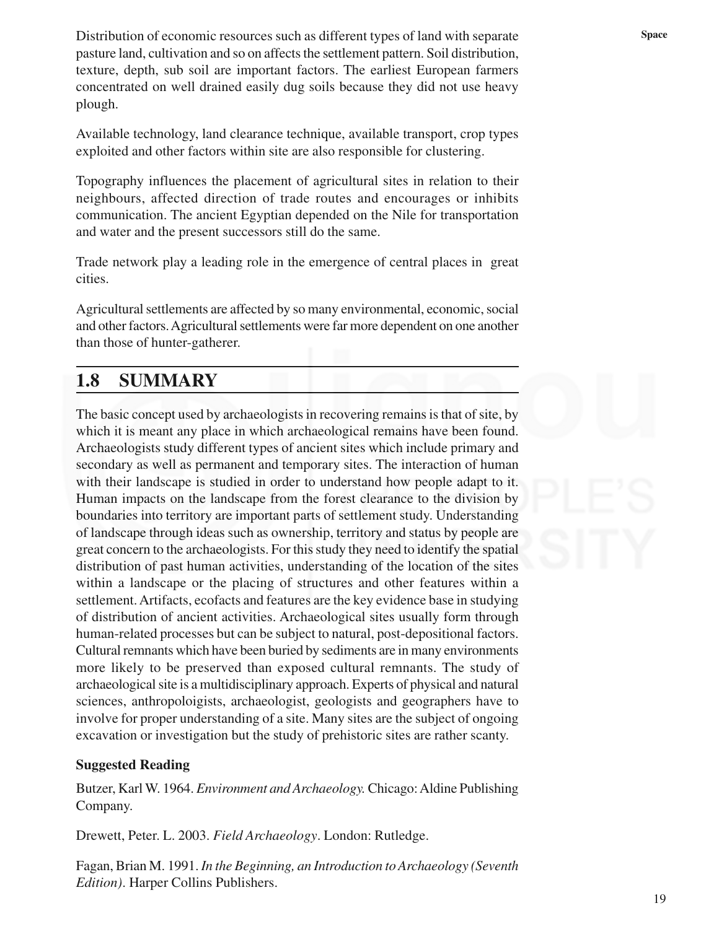Distribution of economic resources such as different types of land with separate **Space** Space pasture land, cultivation and so on affects the settlement pattern. Soil distribution, texture, depth, sub soil are important factors. The earliest European farmers concentrated on well drained easily dug soils because they did not use heavy plough.

Available technology, land clearance technique, available transport, crop types exploited and other factors within site are also responsible for clustering.

Topography influences the placement of agricultural sites in relation to their neighbours, affected direction of trade routes and encourages or inhibits communication. The ancient Egyptian depended on the Nile for transportation and water and the present successors still do the same.

Trade network play a leading role in the emergence of central places in great cities.

Agricultural settlements are affected by so many environmental, economic, social and other factors. Agricultural settlements were far more dependent on one another than those of hunter-gatherer.

# **1.8 SUMMARY**

The basic concept used by archaeologists in recovering remains is that of site, by which it is meant any place in which archaeological remains have been found. Archaeologists study different types of ancient sites which include primary and secondary as well as permanent and temporary sites. The interaction of human with their landscape is studied in order to understand how people adapt to it. Human impacts on the landscape from the forest clearance to the division by boundaries into territory are important parts of settlement study. Understanding of landscape through ideas such as ownership, territory and status by people are great concern to the archaeologists. For this study they need to identify the spatial distribution of past human activities, understanding of the location of the sites within a landscape or the placing of structures and other features within a settlement. Artifacts, ecofacts and features are the key evidence base in studying of distribution of ancient activities. Archaeological sites usually form through human-related processes but can be subject to natural, post-depositional factors. Cultural remnants which have been buried by sediments are in many environments more likely to be preserved than exposed cultural remnants. The study of archaeological site is a multidisciplinary approach. Experts of physical and natural sciences, anthropoloigists, archaeologist, geologists and geographers have to involve for proper understanding of a site. Many sites are the subject of ongoing excavation or investigation but the study of prehistoric sites are rather scanty.

#### **Suggested Reading**

Butzer, Karl W. 1964. *Environment and Archaeology.* Chicago: Aldine Publishing Company.

Drewett, Peter. L. 2003. *Field Archaeology*. London: Rutledge.

Fagan, Brian M. 1991. *In the Beginning, an Introduction to Archaeology (Seventh Edition)*. Harper Collins Publishers.